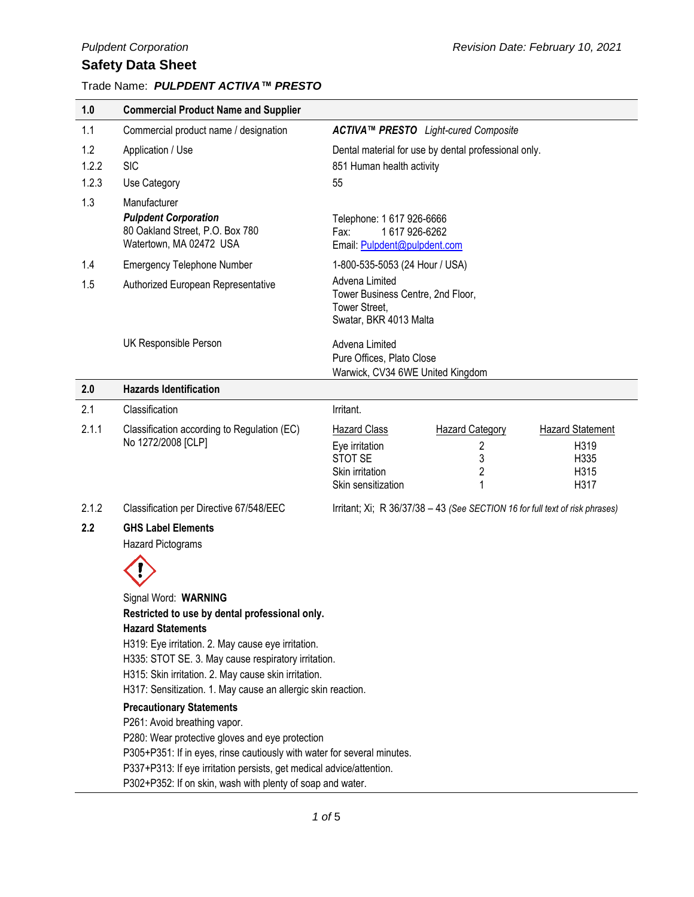| 1.0          | <b>Commercial Product Name and Supplier</b>                                                                                                                                                                                                                                                                                                                                                                                                                                                                                                                                                                                                                                    |                                                                                                |                                                                              |                                                         |
|--------------|--------------------------------------------------------------------------------------------------------------------------------------------------------------------------------------------------------------------------------------------------------------------------------------------------------------------------------------------------------------------------------------------------------------------------------------------------------------------------------------------------------------------------------------------------------------------------------------------------------------------------------------------------------------------------------|------------------------------------------------------------------------------------------------|------------------------------------------------------------------------------|---------------------------------------------------------|
| 1.1          | Commercial product name / designation                                                                                                                                                                                                                                                                                                                                                                                                                                                                                                                                                                                                                                          | ACTIVA™ PRESTO Light-cured Composite                                                           |                                                                              |                                                         |
| 1.2<br>1.2.2 | Application / Use<br><b>SIC</b>                                                                                                                                                                                                                                                                                                                                                                                                                                                                                                                                                                                                                                                | Dental material for use by dental professional only.<br>851 Human health activity              |                                                                              |                                                         |
| 1.2.3        | Use Category                                                                                                                                                                                                                                                                                                                                                                                                                                                                                                                                                                                                                                                                   | 55                                                                                             |                                                                              |                                                         |
| 1.3          | Manufacturer                                                                                                                                                                                                                                                                                                                                                                                                                                                                                                                                                                                                                                                                   |                                                                                                |                                                                              |                                                         |
|              | <b>Pulpdent Corporation</b><br>80 Oakland Street, P.O. Box 780<br>Watertown, MA 02472 USA                                                                                                                                                                                                                                                                                                                                                                                                                                                                                                                                                                                      | Telephone: 1 617 926-6666<br>1617926-6262<br>Fax:<br>Email: Pulpdent@pulpdent.com              |                                                                              |                                                         |
| 1.4          | <b>Emergency Telephone Number</b>                                                                                                                                                                                                                                                                                                                                                                                                                                                                                                                                                                                                                                              | 1-800-535-5053 (24 Hour / USA)                                                                 |                                                                              |                                                         |
| 1.5          | Authorized European Representative                                                                                                                                                                                                                                                                                                                                                                                                                                                                                                                                                                                                                                             | Advena Limited<br>Tower Business Centre, 2nd Floor,<br>Tower Street,<br>Swatar, BKR 4013 Malta |                                                                              |                                                         |
|              | UK Responsible Person                                                                                                                                                                                                                                                                                                                                                                                                                                                                                                                                                                                                                                                          | Advena Limited<br>Pure Offices, Plato Close<br>Warwick, CV34 6WE United Kingdom                |                                                                              |                                                         |
| 2.0          | <b>Hazards Identification</b>                                                                                                                                                                                                                                                                                                                                                                                                                                                                                                                                                                                                                                                  |                                                                                                |                                                                              |                                                         |
| 2.1          | Classification                                                                                                                                                                                                                                                                                                                                                                                                                                                                                                                                                                                                                                                                 | Irritant.                                                                                      |                                                                              |                                                         |
| 2.1.1        | Classification according to Regulation (EC)<br>No 1272/2008 [CLP]                                                                                                                                                                                                                                                                                                                                                                                                                                                                                                                                                                                                              | <b>Hazard Class</b><br>Eye irritation<br>STOT SE<br>Skin irritation<br>Skin sensitization      | <b>Hazard Category</b><br>2<br>3<br>$\overline{c}$<br>1                      | <b>Hazard Statement</b><br>H319<br>H335<br>H315<br>H317 |
| 2.1.2        | Classification per Directive 67/548/EEC                                                                                                                                                                                                                                                                                                                                                                                                                                                                                                                                                                                                                                        |                                                                                                | Irritant; Xi; R 36/37/38 - 43 (See SECTION 16 for full text of risk phrases) |                                                         |
| 2.2          | <b>GHS Label Elements</b>                                                                                                                                                                                                                                                                                                                                                                                                                                                                                                                                                                                                                                                      |                                                                                                |                                                                              |                                                         |
|              | <b>Hazard Pictograms</b>                                                                                                                                                                                                                                                                                                                                                                                                                                                                                                                                                                                                                                                       |                                                                                                |                                                                              |                                                         |
|              |                                                                                                                                                                                                                                                                                                                                                                                                                                                                                                                                                                                                                                                                                |                                                                                                |                                                                              |                                                         |
|              | Signal Word: WARNING<br>Restricted to use by dental professional only.<br><b>Hazard Statements</b><br>H319: Eye irritation. 2. May cause eye irritation.<br>H335: STOT SE. 3. May cause respiratory irritation.<br>H315: Skin irritation. 2. May cause skin irritation.<br>H317: Sensitization. 1. May cause an allergic skin reaction.<br><b>Precautionary Statements</b><br>P261: Avoid breathing vapor.<br>P280: Wear protective gloves and eye protection<br>P305+P351: If in eyes, rinse cautiously with water for several minutes.<br>P337+P313: If eye irritation persists, get medical advice/attention.<br>P302+P352: If on skin, wash with plenty of soap and water. |                                                                                                |                                                                              |                                                         |
|              |                                                                                                                                                                                                                                                                                                                                                                                                                                                                                                                                                                                                                                                                                |                                                                                                |                                                                              |                                                         |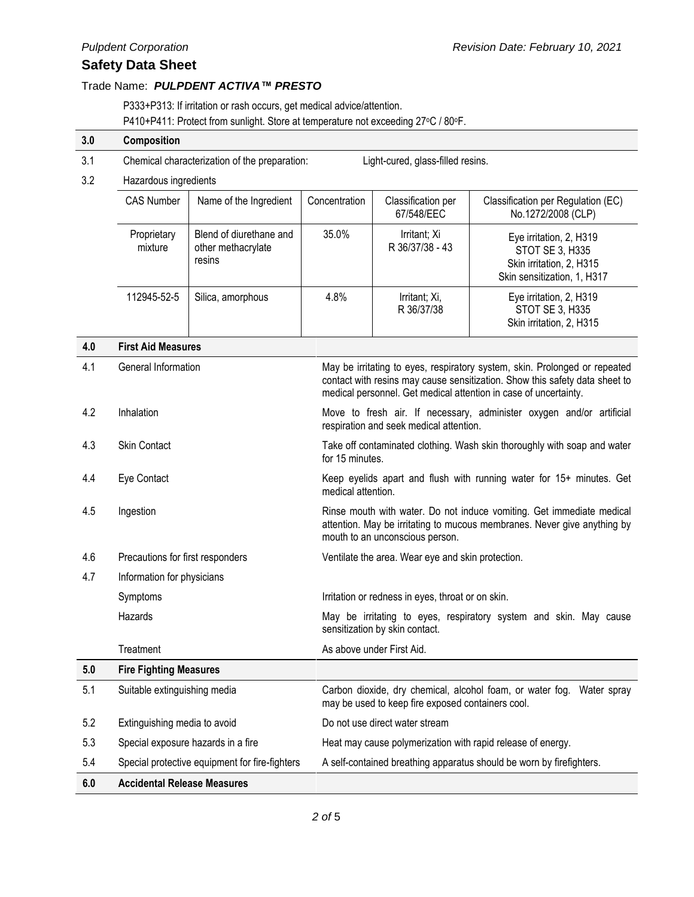#### Trade Name: *PULPDENT ACTIVA™ PRESTO*

P333+P313: If irritation or rash occurs, get medical advice/attention. P410+P411: Protect from sunlight. Store at temperature not exceeding 27°C / 80°F.

| 3.0 | Composition |
|-----|-------------|
|-----|-------------|

3.1 Chemical characterization of the preparation: Light-cured, glass-filled resins.

3.2 Hazardous ingredients

|     | <b>CAS Number</b>                                                                                                                                                                                                                                    | Name of the Ingredient                                                                                                 | Concentration | Classification per<br>67/548/EEC                                                                                                                                                     | Classification per Regulation (EC)<br>No.1272/2008 (CLP)                                              |  |
|-----|------------------------------------------------------------------------------------------------------------------------------------------------------------------------------------------------------------------------------------------------------|------------------------------------------------------------------------------------------------------------------------|---------------|--------------------------------------------------------------------------------------------------------------------------------------------------------------------------------------|-------------------------------------------------------------------------------------------------------|--|
|     | Proprietary<br>mixture                                                                                                                                                                                                                               | Blend of diurethane and<br>other methacrylate<br>resins                                                                | 35.0%         | Irritant; Xi<br>R 36/37/38 - 43                                                                                                                                                      | Eye irritation, 2, H319<br>STOT SE 3, H335<br>Skin irritation, 2, H315<br>Skin sensitization, 1, H317 |  |
|     | 112945-52-5                                                                                                                                                                                                                                          | Silica, amorphous                                                                                                      | 4.8%          | Irritant; Xi,<br>R 36/37/38                                                                                                                                                          | Eye irritation, 2, H319<br>STOT SE 3, H335<br>Skin irritation, 2, H315                                |  |
| 4.0 | <b>First Aid Measures</b>                                                                                                                                                                                                                            |                                                                                                                        |               |                                                                                                                                                                                      |                                                                                                       |  |
| 4.1 | General Information<br>May be irritating to eyes, respiratory system, skin. Prolonged or repeated<br>contact with resins may cause sensitization. Show this safety data sheet to<br>medical personnel. Get medical attention in case of uncertainty. |                                                                                                                        |               |                                                                                                                                                                                      |                                                                                                       |  |
| 4.2 | Inhalation<br>Move to fresh air. If necessary, administer oxygen and/or artificial<br>respiration and seek medical attention.                                                                                                                        |                                                                                                                        |               |                                                                                                                                                                                      |                                                                                                       |  |
| 4.3 | <b>Skin Contact</b>                                                                                                                                                                                                                                  |                                                                                                                        |               | Take off contaminated clothing. Wash skin thoroughly with soap and water<br>for 15 minutes.                                                                                          |                                                                                                       |  |
| 4.4 | Eye Contact                                                                                                                                                                                                                                          |                                                                                                                        |               | Keep eyelids apart and flush with running water for 15+ minutes. Get<br>medical attention.                                                                                           |                                                                                                       |  |
| 4.5 | Ingestion                                                                                                                                                                                                                                            |                                                                                                                        |               | Rinse mouth with water. Do not induce vomiting. Get immediate medical<br>attention. May be irritating to mucous membranes. Never give anything by<br>mouth to an unconscious person. |                                                                                                       |  |
| 4.6 | Precautions for first responders                                                                                                                                                                                                                     |                                                                                                                        |               | Ventilate the area. Wear eye and skin protection.                                                                                                                                    |                                                                                                       |  |
| 4.7 | Information for physicians                                                                                                                                                                                                                           |                                                                                                                        |               |                                                                                                                                                                                      |                                                                                                       |  |
|     | Symptoms                                                                                                                                                                                                                                             |                                                                                                                        |               | Irritation or redness in eyes, throat or on skin.                                                                                                                                    |                                                                                                       |  |
|     | Hazards                                                                                                                                                                                                                                              |                                                                                                                        |               | sensitization by skin contact.                                                                                                                                                       | May be irritating to eyes, respiratory system and skin. May cause                                     |  |
|     | Treatment                                                                                                                                                                                                                                            |                                                                                                                        |               | As above under First Aid.                                                                                                                                                            |                                                                                                       |  |
| 5.0 | <b>Fire Fighting Measures</b>                                                                                                                                                                                                                        |                                                                                                                        |               |                                                                                                                                                                                      |                                                                                                       |  |
| 5.1 | Suitable extinguishing media                                                                                                                                                                                                                         |                                                                                                                        |               | may be used to keep fire exposed containers cool.                                                                                                                                    | Carbon dioxide, dry chemical, alcohol foam, or water fog. Water spray                                 |  |
| 5.2 | Extinguishing media to avoid                                                                                                                                                                                                                         |                                                                                                                        |               | Do not use direct water stream                                                                                                                                                       |                                                                                                       |  |
| 5.3 |                                                                                                                                                                                                                                                      | Special exposure hazards in a fire                                                                                     |               | Heat may cause polymerization with rapid release of energy.                                                                                                                          |                                                                                                       |  |
| 5.4 |                                                                                                                                                                                                                                                      | Special protective equipment for fire-fighters<br>A self-contained breathing apparatus should be worn by firefighters. |               |                                                                                                                                                                                      |                                                                                                       |  |
| 6.0 | <b>Accidental Release Measures</b>                                                                                                                                                                                                                   |                                                                                                                        |               |                                                                                                                                                                                      |                                                                                                       |  |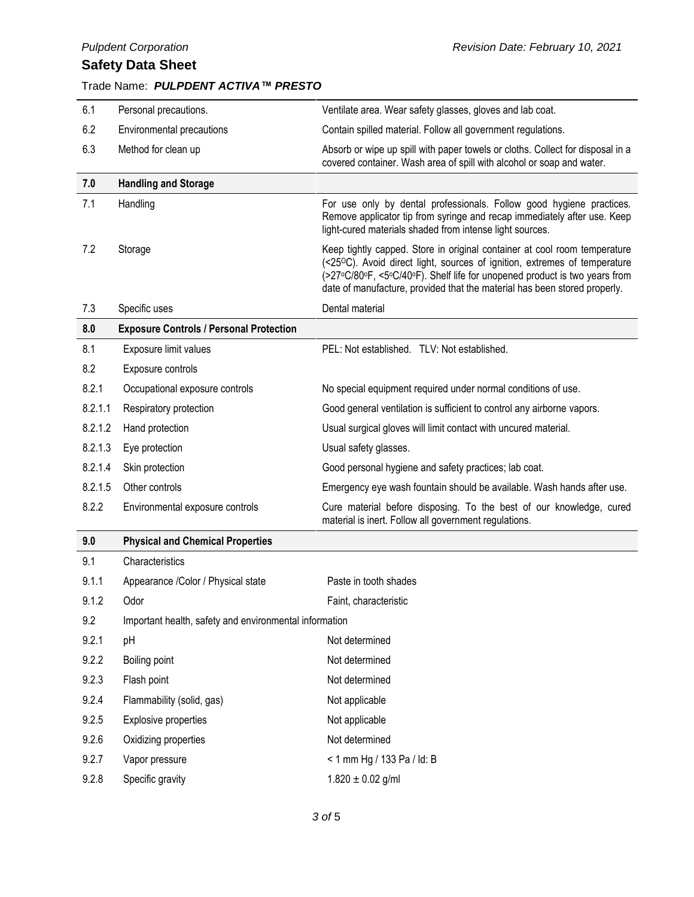|         | Trade Name: <i>PULPDENT ACTIVA™ PRESTO</i>             |                                                                                                                                                                                                                                                                                                                   |
|---------|--------------------------------------------------------|-------------------------------------------------------------------------------------------------------------------------------------------------------------------------------------------------------------------------------------------------------------------------------------------------------------------|
| 6.1     | Personal precautions.                                  | Ventilate area. Wear safety glasses, gloves and lab coat.                                                                                                                                                                                                                                                         |
| 6.2     | Environmental precautions                              | Contain spilled material. Follow all government regulations.                                                                                                                                                                                                                                                      |
| 6.3     | Method for clean up                                    | Absorb or wipe up spill with paper towels or cloths. Collect for disposal in a<br>covered container. Wash area of spill with alcohol or soap and water.                                                                                                                                                           |
| 7.0     | <b>Handling and Storage</b>                            |                                                                                                                                                                                                                                                                                                                   |
| 7.1     | Handling                                               | For use only by dental professionals. Follow good hygiene practices.<br>Remove applicator tip from syringe and recap immediately after use. Keep<br>light-cured materials shaded from intense light sources.                                                                                                      |
| 7.2     | Storage                                                | Keep tightly capped. Store in original container at cool room temperature<br>(<25°C). Avoid direct light, sources of ignition, extremes of temperature<br>(>27°C/80°F, <5°C/40°F). Shelf life for unopened product is two years from<br>date of manufacture, provided that the material has been stored properly. |
| 7.3     | Specific uses                                          | Dental material                                                                                                                                                                                                                                                                                                   |
| 8.0     | <b>Exposure Controls / Personal Protection</b>         |                                                                                                                                                                                                                                                                                                                   |
| 8.1     | Exposure limit values                                  | PEL: Not established. TLV: Not established.                                                                                                                                                                                                                                                                       |
| 8.2     | Exposure controls                                      |                                                                                                                                                                                                                                                                                                                   |
| 8.2.1   | Occupational exposure controls                         | No special equipment required under normal conditions of use.                                                                                                                                                                                                                                                     |
| 8.2.1.1 | Respiratory protection                                 | Good general ventilation is sufficient to control any airborne vapors.                                                                                                                                                                                                                                            |
| 8.2.1.2 | Hand protection                                        | Usual surgical gloves will limit contact with uncured material.                                                                                                                                                                                                                                                   |
| 8.2.1.3 | Eye protection                                         | Usual safety glasses.                                                                                                                                                                                                                                                                                             |
| 8.2.1.4 | Skin protection                                        | Good personal hygiene and safety practices; lab coat.                                                                                                                                                                                                                                                             |
| 8.2.1.5 | Other controls                                         | Emergency eye wash fountain should be available. Wash hands after use.                                                                                                                                                                                                                                            |
| 8.2.2   | Environmental exposure controls                        | Cure material before disposing. To the best of our knowledge, cured<br>material is inert. Follow all government regulations.                                                                                                                                                                                      |
| 9.0     | <b>Physical and Chemical Properties</b>                |                                                                                                                                                                                                                                                                                                                   |
| 9.1     | Characteristics                                        |                                                                                                                                                                                                                                                                                                                   |
| 9.1.1   | Appearance /Color / Physical state                     | Paste in tooth shades                                                                                                                                                                                                                                                                                             |
| 9.1.2   | Odor                                                   | Faint, characteristic                                                                                                                                                                                                                                                                                             |
| 9.2     | Important health, safety and environmental information |                                                                                                                                                                                                                                                                                                                   |
| 9.2.1   | pH                                                     | Not determined                                                                                                                                                                                                                                                                                                    |
| 9.2.2   | Boiling point                                          | Not determined                                                                                                                                                                                                                                                                                                    |
| 9.2.3   | Flash point                                            | Not determined                                                                                                                                                                                                                                                                                                    |
| 9.2.4   | Flammability (solid, gas)                              | Not applicable                                                                                                                                                                                                                                                                                                    |
| 9.2.5   | Explosive properties                                   | Not applicable                                                                                                                                                                                                                                                                                                    |
| 9.2.6   | Oxidizing properties                                   | Not determined                                                                                                                                                                                                                                                                                                    |
| 9.2.7   | Vapor pressure                                         | < 1 mm Hg / 133 Pa / Id: B                                                                                                                                                                                                                                                                                        |
| 9.2.8   | Specific gravity                                       | $1.820 \pm 0.02$ g/ml                                                                                                                                                                                                                                                                                             |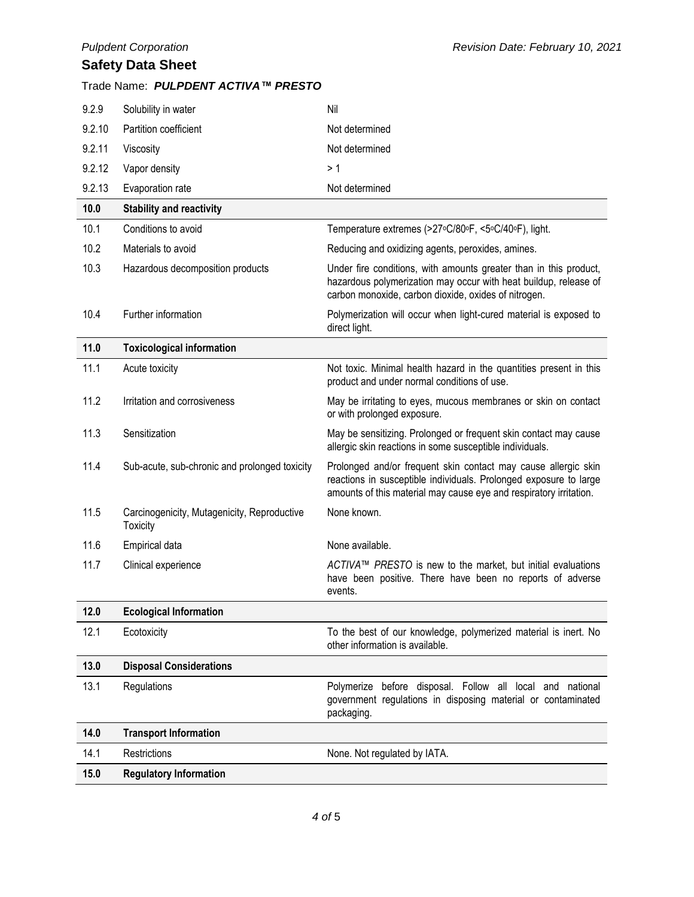| 9.2.9  | Solubility in water                                            | Nil                                                                                                                                                                                                       |
|--------|----------------------------------------------------------------|-----------------------------------------------------------------------------------------------------------------------------------------------------------------------------------------------------------|
| 9.2.10 | Partition coefficient                                          | Not determined                                                                                                                                                                                            |
| 9.2.11 | Viscosity                                                      | Not determined                                                                                                                                                                                            |
| 9.2.12 | Vapor density                                                  | >1                                                                                                                                                                                                        |
| 9.2.13 | Evaporation rate                                               | Not determined                                                                                                                                                                                            |
| 10.0   | <b>Stability and reactivity</b>                                |                                                                                                                                                                                                           |
| 10.1   | Conditions to avoid                                            | Temperature extremes (>27°C/80°F, <5°C/40°F), light.                                                                                                                                                      |
| 10.2   | Materials to avoid                                             | Reducing and oxidizing agents, peroxides, amines.                                                                                                                                                         |
| 10.3   | Hazardous decomposition products                               | Under fire conditions, with amounts greater than in this product,<br>hazardous polymerization may occur with heat buildup, release of<br>carbon monoxide, carbon dioxide, oxides of nitrogen.             |
| 10.4   | Further information                                            | Polymerization will occur when light-cured material is exposed to<br>direct light.                                                                                                                        |
| 11.0   | <b>Toxicological information</b>                               |                                                                                                                                                                                                           |
| 11.1   | Acute toxicity                                                 | Not toxic. Minimal health hazard in the quantities present in this<br>product and under normal conditions of use.                                                                                         |
| 11.2   | Irritation and corrosiveness                                   | May be irritating to eyes, mucous membranes or skin on contact<br>or with prolonged exposure.                                                                                                             |
| 11.3   | Sensitization                                                  | May be sensitizing. Prolonged or frequent skin contact may cause<br>allergic skin reactions in some susceptible individuals.                                                                              |
| 11.4   | Sub-acute, sub-chronic and prolonged toxicity                  | Prolonged and/or frequent skin contact may cause allergic skin<br>reactions in susceptible individuals. Prolonged exposure to large<br>amounts of this material may cause eye and respiratory irritation. |
| 11.5   | Carcinogenicity, Mutagenicity, Reproductive<br><b>Toxicity</b> | None known.                                                                                                                                                                                               |
| 11.6   | Empirical data                                                 | None available.                                                                                                                                                                                           |
| 11.7   | Clinical experience                                            | ACTIVA™ PRESTO is new to the market, but initial evaluations<br>have been positive. There have been no reports of adverse<br>events.                                                                      |
| 12.0   | <b>Ecological Information</b>                                  |                                                                                                                                                                                                           |
| 12.1   | Ecotoxicity                                                    | To the best of our knowledge, polymerized material is inert. No<br>other information is available.                                                                                                        |
| 13.0   | <b>Disposal Considerations</b>                                 |                                                                                                                                                                                                           |
| 13.1   | Regulations                                                    | before disposal. Follow all local and national<br>Polymerize<br>government regulations in disposing material or contaminated<br>packaging.                                                                |
| 14.0   | <b>Transport Information</b>                                   |                                                                                                                                                                                                           |
| 14.1   | Restrictions                                                   | None. Not regulated by IATA.                                                                                                                                                                              |
| 15.0   | <b>Regulatory Information</b>                                  |                                                                                                                                                                                                           |